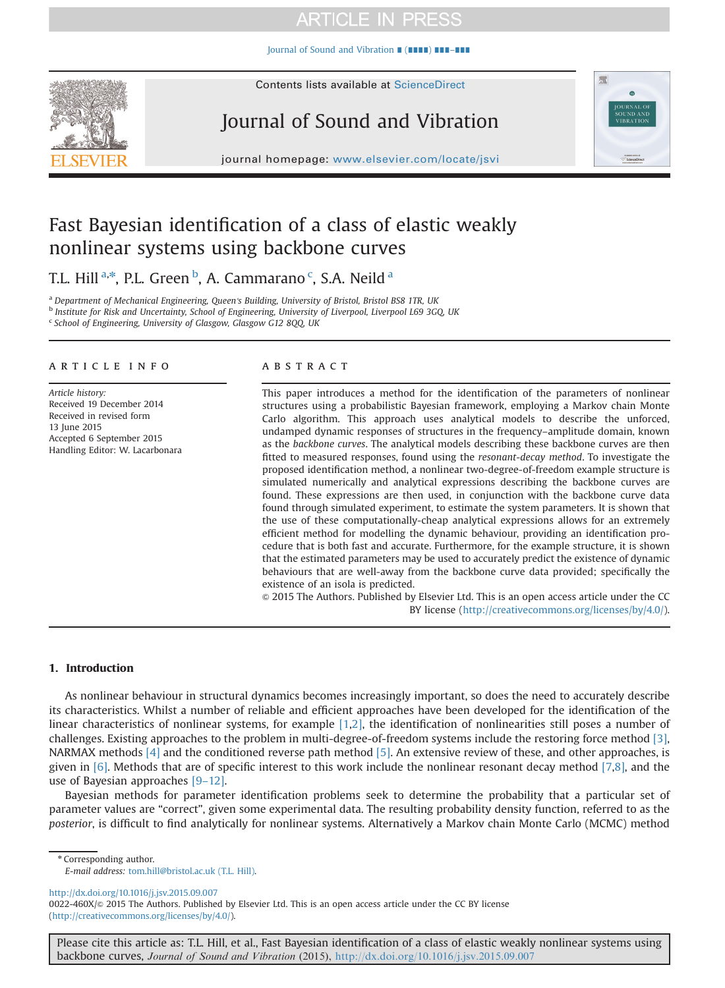[Journal of Sound and Vibration](http://dx.doi.org/10.1016/j.jsv.2015.09.007) ∎ (∎∎∎∎) ∎∎∎–∎∎∎



# Journal of Sound and Vibration



journal homepage: <www.elsevier.com/locate/jsvi>

## Fast Bayesian identification of a class of elastic weakly nonlinear systems using backbone curves

T.L. Hill <sup>a,\*</sup>, P.L. Green <sup>b</sup>, A. Cammarano <sup>c</sup>, S.A. Neild <sup>a</sup>

<sup>a</sup> Department of Mechanical Engineering, Queen's Building, University of Bristol, Bristol BS8 1TR, UK

<sup>b</sup> Institute for Risk and Uncertainty, School of Engineering, University of Liverpool, Liverpool L69 3GQ, UK

<sup>c</sup> School of Engineering, University of Glasgow, Glasgow G12 8QQ, UK

### article info

Article history: Received 19 December 2014 Received in revised form 13 June 2015 Accepted 6 September 2015 Handling Editor: W. Lacarbonara

### **ABSTRACT**

This paper introduces a method for the identification of the parameters of nonlinear structures using a probabilistic Bayesian framework, employing a Markov chain Monte Carlo algorithm. This approach uses analytical models to describe the unforced, undamped dynamic responses of structures in the frequency–amplitude domain, known as the backbone curves. The analytical models describing these backbone curves are then fitted to measured responses, found using the resonant-decay method. To investigate the proposed identification method, a nonlinear two-degree-of-freedom example structure is simulated numerically and analytical expressions describing the backbone curves are found. These expressions are then used, in conjunction with the backbone curve data found through simulated experiment, to estimate the system parameters. It is shown that the use of these computationally-cheap analytical expressions allows for an extremely efficient method for modelling the dynamic behaviour, providing an identification procedure that is both fast and accurate. Furthermore, for the example structure, it is shown that the estimated parameters may be used to accurately predict the existence of dynamic behaviours that are well-away from the backbone curve data provided; specifically the existence of an isola is predicted.

& 2015 The Authors. Published by Elsevier Ltd. This is an open access article under the CC BY license (http://creativecommons.org/licenses/by/4.0/).

### 1. Introduction

As nonlinear behaviour in structural dynamics becomes increasingly important, so does the need to accurately describe its characteristics. Whilst a number of reliable and efficient approaches have been developed for the identification of the linear characteristics of nonlinear systems, for example [\[1,2\]](#page-13-0), the identification of nonlinearities still poses a number of challenges. Existing approaches to the problem in multi-degree-of-freedom systems include the restoring force method [\[3\]](#page-13-0), NARMAX methods [\[4\]](#page-13-0) and the conditioned reverse path method [\[5\]](#page-13-0). An extensive review of these, and other approaches, is given in [\[6\].](#page-13-0) Methods that are of specific interest to this work include the nonlinear resonant decay method [\[7,8\]](#page-13-0), and the use of Bayesian approaches [9–[12\].](#page-13-0)

Bayesian methods for parameter identification problems seek to determine the probability that a particular set of parameter values are "correct", given some experimental data. The resulting probability density function, referred to as the posterior, is difficult to find analytically for nonlinear systems. Alternatively a Markov chain Monte Carlo (MCMC) method

\* Corresponding author.

E-mail address: tom.hill@bristol.ac.uk (T.L. Hill).

<http://dx.doi.org/10.1016/j.jsv.2015.09.007> 0022-460X/ $\otimes$  2015 The Authors. Published by Elsevier Ltd. This is an open access article under the CC BY license (http://creativecommons.org/licenses/by/4.0/).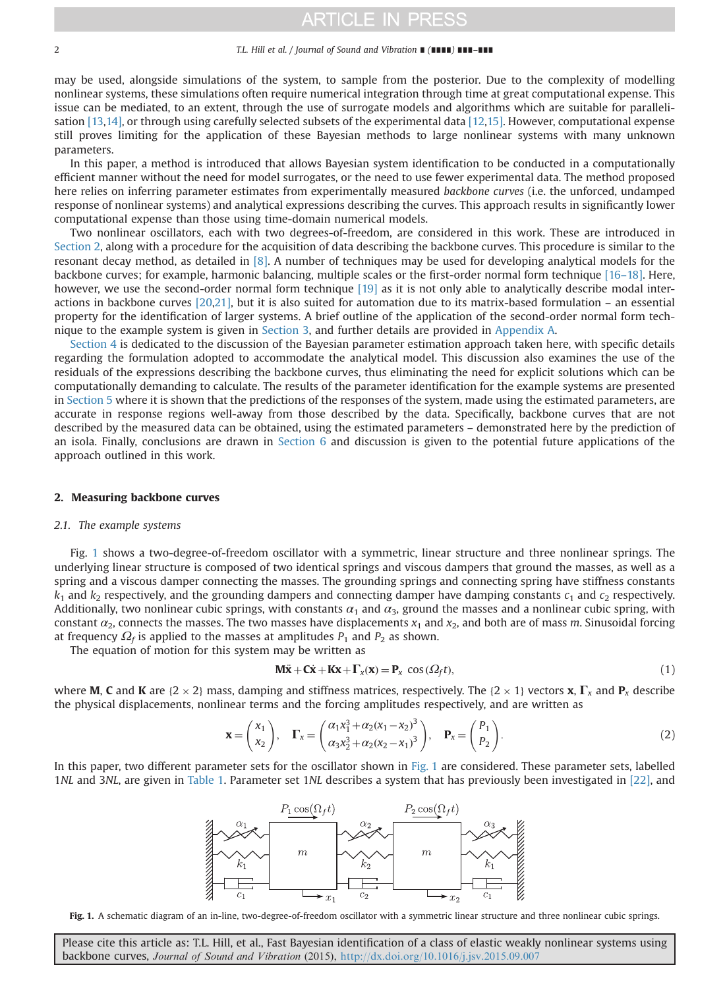#### <span id="page-1-0"></span>2 T.L. Hill et al. / Journal of Sound and Vibration ∎ (∎∎∎∎) ∎∎∎–∎∎∎

may be used, alongside simulations of the system, to sample from the posterior. Due to the complexity of modelling nonlinear systems, these simulations often require numerical integration through time at great computational expense. This issue can be mediated, to an extent, through the use of surrogate models and algorithms which are suitable for parallelisation [\[13,14\],](#page-13-0) or through using carefully selected subsets of the experimental data [\[12,15\].](#page-13-0) However, computational expense still proves limiting for the application of these Bayesian methods to large nonlinear systems with many unknown parameters.

In this paper, a method is introduced that allows Bayesian system identification to be conducted in a computationally efficient manner without the need for model surrogates, or the need to use fewer experimental data. The method proposed here relies on inferring parameter estimates from experimentally measured backbone curves (i.e. the unforced, undamped response of nonlinear systems) and analytical expressions describing the curves. This approach results in significantly lower computational expense than those using time-domain numerical models.

Two nonlinear oscillators, each with two degrees-of-freedom, are considered in this work. These are introduced in Section 2, along with a procedure for the acquisition of data describing the backbone curves. This procedure is similar to the resonant decay method, as detailed in [\[8\]](#page-13-0). A number of techniques may be used for developing analytical models for the backbone curves; for example, harmonic balancing, multiple scales or the first-order normal form technique [16–[18\].](#page-13-0) Here, however, we use the second-order normal form technique [\[19\]](#page-13-0) as it is not only able to analytically describe modal interactions in backbone curves [\[20,21\]](#page-13-0), but it is also suited for automation due to its matrix-based formulation – an essential property for the identification of larger systems. A brief outline of the application of the second-order normal form technique to the example system is given in [Section 3,](#page-4-0) and further details are provided in [Appendix A.](#page-11-0)

[Section 4](#page-5-0) is dedicated to the discussion of the Bayesian parameter estimation approach taken here, with specific details regarding the formulation adopted to accommodate the analytical model. This discussion also examines the use of the residuals of the expressions describing the backbone curves, thus eliminating the need for explicit solutions which can be computationally demanding to calculate. The results of the parameter identification for the example systems are presented in [Section 5](#page-6-0) where it is shown that the predictions of the responses of the system, made using the estimated parameters, are accurate in response regions well-away from those described by the data. Specifically, backbone curves that are not described by the measured data can be obtained, using the estimated parameters – demonstrated here by the prediction of an isola. Finally, conclusions are drawn in [Section 6](#page-10-0) and discussion is given to the potential future applications of the approach outlined in this work.

#### 2. Measuring backbone curves

#### 2.1. The example systems

Fig. 1 shows a two-degree-of-freedom oscillator with a symmetric, linear structure and three nonlinear springs. The underlying linear structure is composed of two identical springs and viscous dampers that ground the masses, as well as a spring and a viscous damper connecting the masses. The grounding springs and connecting spring have stiffness constants  $k_1$  and  $k_2$  respectively, and the grounding dampers and connecting damper have damping constants  $c_1$  and  $c_2$  respectively. Additionally, two nonlinear cubic springs, with constants  $\alpha_1$  and  $\alpha_3$ , ground the masses and a nonlinear cubic spring, with constant  $\alpha_2$ , connects the masses. The two masses have displacements  $x_1$  and  $x_2$ , and both are of mass m. Sinusoidal forcing at frequency  $\Omega_f$  is applied to the masses at amplitudes  $P_1$  and  $P_2$  as shown.

The equation of motion for this system may be written as

$$
\mathbf{M}\ddot{\mathbf{x}} + \mathbf{C}\dot{\mathbf{x}} + \mathbf{K}\mathbf{x} + \mathbf{\Gamma}_x(\mathbf{x}) = \mathbf{P}_x \cos(\Omega_f t),
$$
\n(1)

where **M, C** and **K** are {2  $\times$  2} mass, damping and stiffness matrices, respectively. The {2  $\times$  1} vectors **x**,  $\Gamma_x$  and  $P_x$  describe<br>the physical displacements, poplinear terms and the forcing amplitudes respective the physical displacements, nonlinear terms and the forcing amplitudes respectively, and are written as

$$
\mathbf{x} = \begin{pmatrix} x_1 \\ x_2 \end{pmatrix}, \quad \mathbf{\Gamma}_x = \begin{pmatrix} \alpha_1 x_1^3 + \alpha_2 (x_1 - x_2)^3 \\ \alpha_3 x_2^3 + \alpha_2 (x_2 - x_1)^3 \end{pmatrix}, \quad \mathbf{P}_x = \begin{pmatrix} P_1 \\ P_2 \end{pmatrix}.
$$
 (2)

In this paper, two different parameter sets for the oscillator shown in Fig. 1 are considered. These parameter sets, labelled 1NL and 3NL, are given in [Table 1](#page-2-0). Parameter set 1NL describes a system that has previously been investigated in [\[22\]](#page-13-0), and

 $P_1\cos(\Omega_f t)$  $P_2\cos(\Omega_f t)$  $\overline{m}$  $\overline{m}$  $k_{2}$  $\bm{z}_1$  $r_2$ 

Fig. 1. A schematic diagram of an in-line, two-degree-of-freedom oscillator with a symmetric linear structure and three nonlinear cubic springs.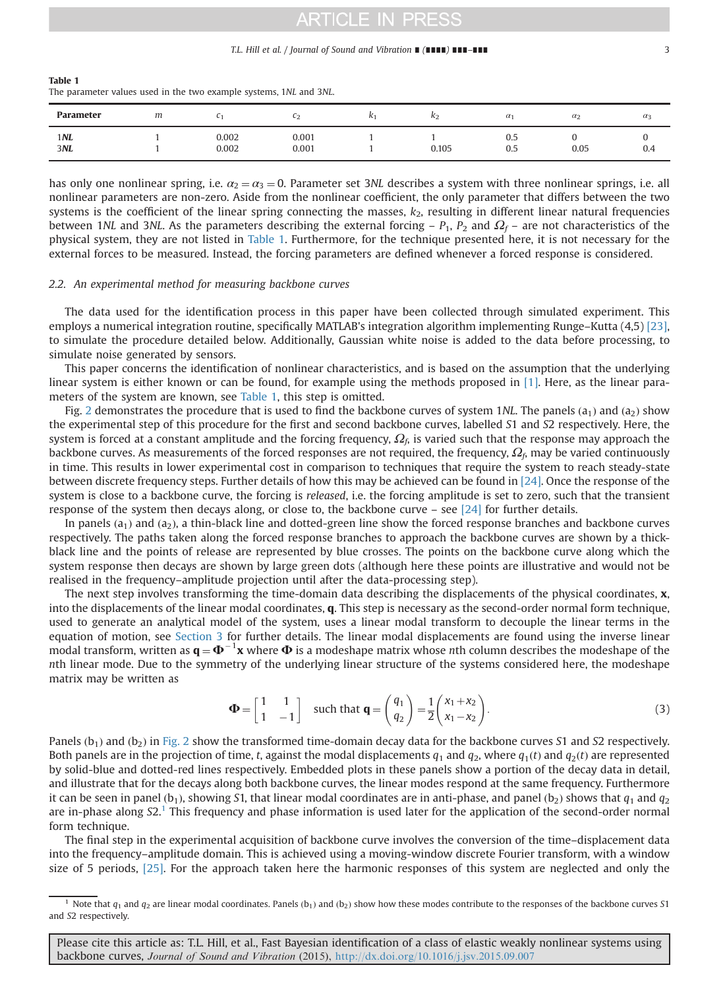#### T.L. Hill et al. / Journal of Sound and Vibration ∎ (∎∎∎∎) ∎∎∎–∎∎∎ 3

<span id="page-2-0"></span>

| Table 1                                                            |  |  |
|--------------------------------------------------------------------|--|--|
| The parameter values used in the two example systems, 1NL and 3NL. |  |  |

| Parameter  | m |                | ∼∠             | K2    | $\alpha_1$      | $\alpha_2$ | $\alpha_3$ |
|------------|---|----------------|----------------|-------|-----------------|------------|------------|
| 1NL<br>3NL |   | 0.002<br>0.002 | 0.001<br>0.001 | 0.105 | $_{0.5}$<br>0.5 | 0.05       | U<br>0.4   |

has only one nonlinear spring, i.e.  $\alpha_2 = \alpha_3 = 0$ . Parameter set 3NL describes a system with three nonlinear springs, i.e. all nonlinear parameters are non-zero. Aside from the nonlinear coefficient, the only parameter that differs between the two systems is the coefficient of the linear spring connecting the masses,  $k<sub>2</sub>$ , resulting in different linear natural frequencies between 1NL and 3NL. As the parameters describing the external forcing –  $P_1$ ,  $P_2$  and  $\Omega_f$  – are not characteristics of the physical system, they are not listed in Table 1. Furthermore, for the technique presented here, it is not necessary for the external forces to be measured. Instead, the forcing parameters are defined whenever a forced response is considered.

### 2.2. An experimental method for measuring backbone curves

The data used for the identification process in this paper have been collected through simulated experiment. This employs a numerical integration routine, specifically MATLAB's integration algorithm implementing Runge–Kutta (4,5) [\[23\]](#page-13-0), to simulate the procedure detailed below. Additionally, Gaussian white noise is added to the data before processing, to simulate noise generated by sensors.

This paper concerns the identification of nonlinear characteristics, and is based on the assumption that the underlying linear system is either known or can be found, for example using the methods proposed in [\[1\]](#page-13-0). Here, as the linear parameters of the system are known, see Table 1, this step is omitted.

Fig. [2](#page-3-0) demonstrates the procedure that is used to find the backbone curves of system 1NL. The panels  $(a_1)$  and  $(a_2)$  show the experimental step of this procedure for the first and second backbone curves, labelled S1 and S2 respectively. Here, the system is forced at a constant amplitude and the forcing frequency,  $\Omega_f$  is varied such that the response may approach the backbone curves. As measurements of the forced responses are not required, the frequency,  $\Omega_6$  may be varied continuously in time. This results in lower experimental cost in comparison to techniques that require the system to reach steady-state between discrete frequency steps. Further details of how this may be achieved can be found in [\[24\]](#page-13-0). Once the response of the system is close to a backbone curve, the forcing is *released*, i.e. the forcing amplitude is set to zero, such that the transient response of the system then decays along, or close to, the backbone curve – see [\[24\]](#page-13-0) for further details.

In panels  $(a_1)$  and  $(a_2)$ , a thin-black line and dotted-green line show the forced response branches and backbone curves respectively. The paths taken along the forced response branches to approach the backbone curves are shown by a thickblack line and the points of release are represented by blue crosses. The points on the backbone curve along which the system response then decays are shown by large green dots (although here these points are illustrative and would not be realised in the frequency–amplitude projection until after the data-processing step).

The next step involves transforming the time-domain data describing the displacements of the physical coordinates,  $x$ , into the displacements of the linear modal coordinates, q. This step is necessary as the second-order normal form technique, used to generate an analytical model of the system, uses a linear modal transform to decouple the linear terms in the equation of motion, see [Section 3](#page-4-0) for further details. The linear modal displacements are found using the inverse linear modal transform, written as  $\mathbf{q} = \mathbf{\Phi}^{-1} \mathbf{x}$  where  $\mathbf{\Phi}$  is a modeshape matrix whose nth column describes the modeshape of the number of the systems considered here the modeshape nth linear mode. Due to the symmetry of the underlying linear structure of the systems considered here, the modeshape matrix may be written as

$$
\Phi = \begin{bmatrix} 1 & 1 \\ 1 & -1 \end{bmatrix} \text{ such that } \mathbf{q} = \begin{pmatrix} q_1 \\ q_2 \end{pmatrix} = \frac{1}{2} \begin{pmatrix} x_1 + x_2 \\ x_1 - x_2 \end{pmatrix}.
$$
 (3)

Panels  $(b_1)$  and  $(b_2)$  in [Fig. 2](#page-3-0) show the transformed time-domain decay data for the backbone curves S1 and S2 respectively. Both panels are in the projection of time, t, against the modal displacements  $q_1$  and  $q_2$ , where  $q_1(t)$  and  $q_2(t)$  are represented by solid-blue and dotted-red lines respectively. Embedded plots in these panels show a portion of the decay data in detail, and illustrate that for the decays along both backbone curves, the linear modes respond at the same frequency. Furthermore it can be seen in panel  $(b_1)$ , showing S1, that linear modal coordinates are in anti-phase, and panel  $(b_2)$  shows that  $q_1$  and  $q_2$ are in-phase along S2.<sup>1</sup> This frequency and phase information is used later for the application of the second-order normal form technique.

The final step in the experimental acquisition of backbone curve involves the conversion of the time–displacement data into the frequency–amplitude domain. This is achieved using a moving-window discrete Fourier transform, with a window size of 5 periods, [\[25\].](#page-14-0) For the approach taken here the harmonic responses of this system are neglected and only the

<sup>&</sup>lt;sup>1</sup> Note that  $q_1$  and  $q_2$  are linear modal coordinates. Panels (b<sub>1</sub>) and (b<sub>2</sub>) show how these modes contribute to the responses of the backbone curves S1 and S2 respectively.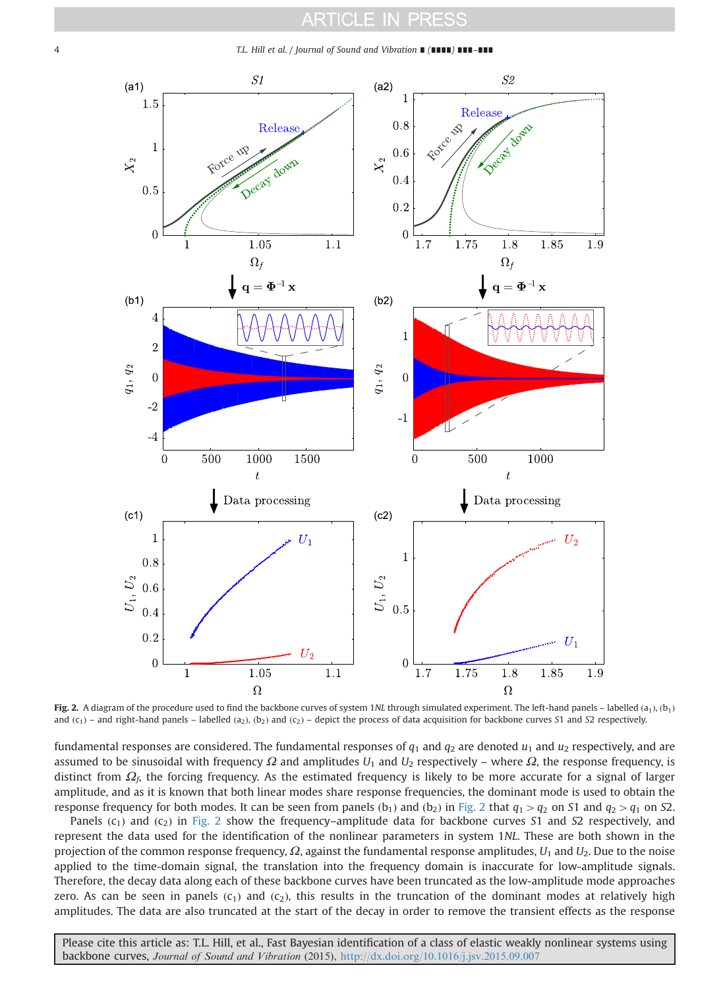#### ARTICI F IN PRESS

<span id="page-3-0"></span>

Fig. 2. A diagram of the procedure used to find the backbone curves of system 1NL through simulated experiment. The left-hand panels – labelled  $(a_1)$ ,  $(b_1)$ and  $(c_1)$  – and right-hand panels – labelled  $(a_2)$ ,  $(b_2)$  and  $(c_2)$  – depict the process of data acquisition for backbone curves S1 and S2 respectively.

fundamental responses are considered. The fundamental responses of  $q_1$  and  $q_2$  are denoted  $u_1$  and  $u_2$  respectively, and are assumed to be sinusoidal with frequency  $Ω$  and amplitudes  $U_1$  and  $U_2$  respectively – where  $Ω$ , the response frequency, is distinct from  $\Omega_6$ , the forcing frequency. As the estimated frequency is likely to be more accurate for a signal of larger amplitude, and as it is known that both linear modes share response frequencies, the dominant mode is used to obtain the response frequency for both modes. It can be seen from panels  $(b_1)$  and  $(b_2)$  in Fig. 2 that  $q_1 > q_2$  on S1 and  $q_2 > q_1$  on S2.

Panels  $(c_1)$  and  $(c_2)$  in Fig. 2 show the frequency–amplitude data for backbone curves S1 and S2 respectively, and represent the data used for the identification of the nonlinear parameters in system 1NL. These are both shown in the projection of the common response frequency,  $\Omega$ , against the fundamental response amplitudes,  $U_1$  and  $U_2$ . Due to the noise applied to the time-domain signal, the translation into the frequency domain is inaccurate for low-amplitude signals. Therefore, the decay data along each of these backbone curves have been truncated as the low-amplitude mode approaches zero. As can be seen in panels  $(c_1)$  and  $(c_2)$ , this results in the truncation of the dominant modes at relatively high amplitudes. The data are also truncated at the start of the decay in order to remove the transient effects as the response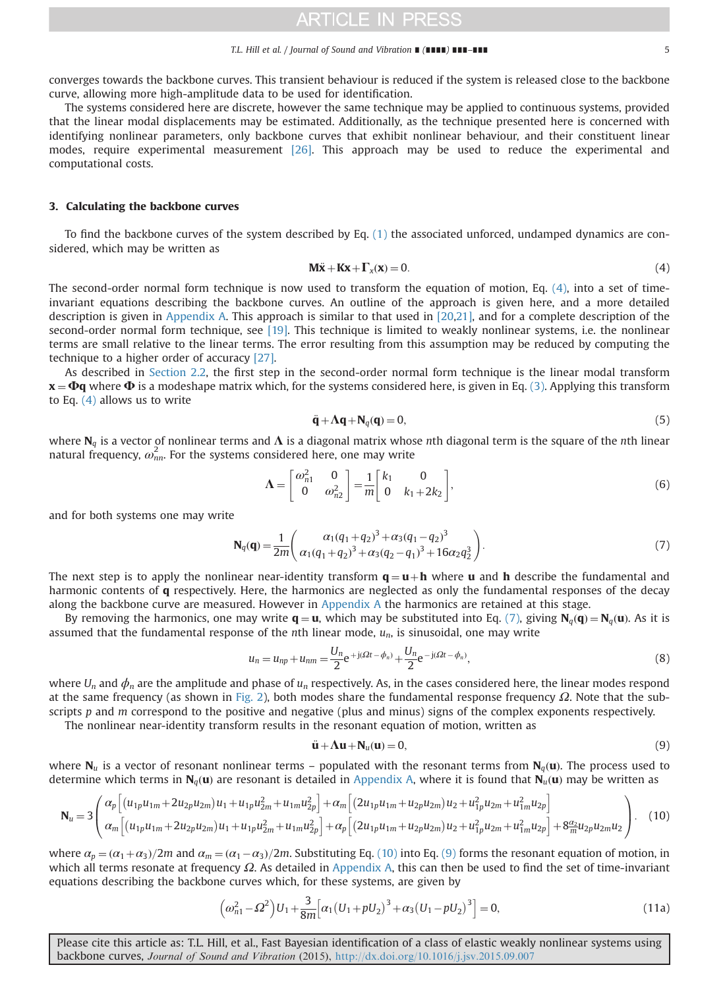#### T.L. Hill et al. / Journal of Sound and Vibration ∎ (∎∎∎∎) ∎∎∎–∎∎∎ 5

<span id="page-4-0"></span>converges towards the backbone curves. This transient behaviour is reduced if the system is released close to the backbone curve, allowing more high-amplitude data to be used for identification.

The systems considered here are discrete, however the same technique may be applied to continuous systems, provided that the linear modal displacements may be estimated. Additionally, as the technique presented here is concerned with identifying nonlinear parameters, only backbone curves that exhibit nonlinear behaviour, and their constituent linear modes, require experimental measurement [\[26\]](#page-14-0). This approach may be used to reduce the experimental and computational costs.

#### 3. Calculating the backbone curves

To find the backbone curves of the system described by Eq. [\(1\)](#page-1-0) the associated unforced, undamped dynamics are considered, which may be written as

$$
\mathbf{M}\ddot{\mathbf{x}} + \mathbf{K}\mathbf{x} + \mathbf{\Gamma}_x(\mathbf{x}) = 0. \tag{4}
$$

The second-order normal form technique is now used to transform the equation of motion, Eq. (4), into a set of timeinvariant equations describing the backbone curves. An outline of the approach is given here, and a more detailed description is given in [Appendix A.](#page-11-0) This approach is similar to that used in [\[20,21\],](#page-13-0) and for a complete description of the second-order normal form technique, see [\[19\].](#page-13-0) This technique is limited to weakly nonlinear systems, i.e. the nonlinear terms are small relative to the linear terms. The error resulting from this assumption may be reduced by computing the technique to a higher order of accuracy [\[27\].](#page-14-0)

As described in [Section 2.2,](#page-2-0) the first step in the second-order normal form technique is the linear modal transform  $x = \Phi q$  where  $\Phi$  is a modeshape matrix which, for the systems considered here, is given in Eq. [\(3\).](#page-2-0) Applying this transform to Eq. (4) allows us to write

$$
\ddot{\mathbf{q}} + \Lambda \mathbf{q} + \mathbf{N}_q(\mathbf{q}) = 0,\tag{5}
$$

where  $N_q$  is a vector of nonlinear terms and  $\Lambda$  is a diagonal matrix whose nth diagonal term is the square of the nth linear natural frequency,  $\omega_{nn}^2$ . For the systems considered here, one may write

$$
\Lambda = \begin{bmatrix} \omega_{n1}^2 & 0 \\ 0 & \omega_{n2}^2 \end{bmatrix} = \frac{1}{m} \begin{bmatrix} k_1 & 0 \\ 0 & k_1 + 2k_2 \end{bmatrix},\tag{6}
$$

and for both systems one may write

$$
\mathbf{N}_q(\mathbf{q}) = \frac{1}{2m} \left( \frac{\alpha_1 (q_1 + q_2)^3 + \alpha_3 (q_1 - q_2)^3}{\alpha_1 (q_1 + q_2)^3 + \alpha_3 (q_2 - q_1)^3 + 16 \alpha_2 q_2^3} \right).
$$
(7)

The next step is to apply the nonlinear near-identity transform  $q = u + h$  where u and h describe the fundamental and harmonic contents of **q** respectively. Here, the harmonics are neglected as only the fundamental responses of the decay along the backbone curve are measured. However in [Appendix A](#page-11-0) the harmonics are retained at this stage.

By removing the harmonics, one may write  $\mathbf{q} = \mathbf{u}$ , which may be substituted into Eq. (7), giving  $\mathbf{N}_q(\mathbf{q}) = \mathbf{N}_q(\mathbf{u})$ . As it is assumed that the fundamental response of the nth linear mode,  $u_n$ , is sinusoidal, one may write

$$
u_n = u_{np} + u_{nm} = \frac{U_n}{2} e^{+j(\Omega t - \phi_n)} + \frac{U_n}{2} e^{-j(\Omega t - \phi_n)},
$$
\n(8)

where  $U_n$  and  $\phi_n$  are the amplitude and phase of  $u_n$  respectively. As, in the cases considered here, the linear modes respond at the same frequency (as shown in [Fig. 2\)](#page-3-0), both modes share the fundamental response frequency  $Ω$ . Note that the subscripts  $p$  and  $m$  correspond to the positive and negative (plus and minus) signs of the complex exponents respectively.

The nonlinear near-identity transform results in the resonant equation of motion, written as

$$
\ddot{\mathbf{u}} + \mathbf{\Lambda}\mathbf{u} + \mathbf{N}_u(\mathbf{u}) = 0,\tag{9}
$$

where  $N_u$  is a vector of resonant nonlinear terms – populated with the resonant terms from  $N_d$ (**u**). The process used to determine which terms in  $N_a(u)$  are resonant is detailed in [Appendix A](#page-11-0), where it is found that  $N_u(u)$  may be written as

$$
\mathbf{N}_{u} = 3 \left( \frac{\alpha_{p} \left[ (u_{1p} u_{1m} + 2u_{2p} u_{2m}) u_{1} + u_{1p} u_{2m}^{2} + u_{1m} u_{2p}^{2} \right] + \alpha_{m} \left[ (2u_{1p} u_{1m} + u_{2p} u_{2m}) u_{2} + u_{1p}^{2} u_{2m} + u_{1m}^{2} u_{2p} \right]}{\alpha_{m} \left[ (u_{1p} u_{1m} + 2u_{2p} u_{2m}) u_{1} + u_{1p} u_{2m}^{2} + u_{1m} u_{2p}^{2} \right] + \alpha_{p} \left[ (2u_{1p} u_{1m} + u_{2p} u_{2m}) u_{2} + u_{1p}^{2} u_{2m} + u_{1m}^{2} u_{2p} \right] + 8 \frac{\alpha_{2}}{m} u_{2p} u_{2m} u_{2} \right]} \right). \tag{10}
$$

where  $\alpha_p = (\alpha_1 + \alpha_3)/2m$  and  $\alpha_m = (\alpha_1 - \alpha_3)/2m$ . Substituting Eq. (10) into Eq. (9) forms the resonant equation of motion, in which all terms resonate at frequency  $\Omega$ . As detailed in [Appendix A](#page-11-0), this can then be used to find the set of time-invariant equations describing the backbone curves which, for these systems, are given by

$$
\left(\omega_{n1}^{2} - \Omega^{2}\right)U_{1} + \frac{3}{8m}\left[\alpha_{1}\left(U_{1} + pU_{2}\right)^{3} + \alpha_{3}\left(U_{1} - pU_{2}\right)^{3}\right] = 0, \tag{11a}
$$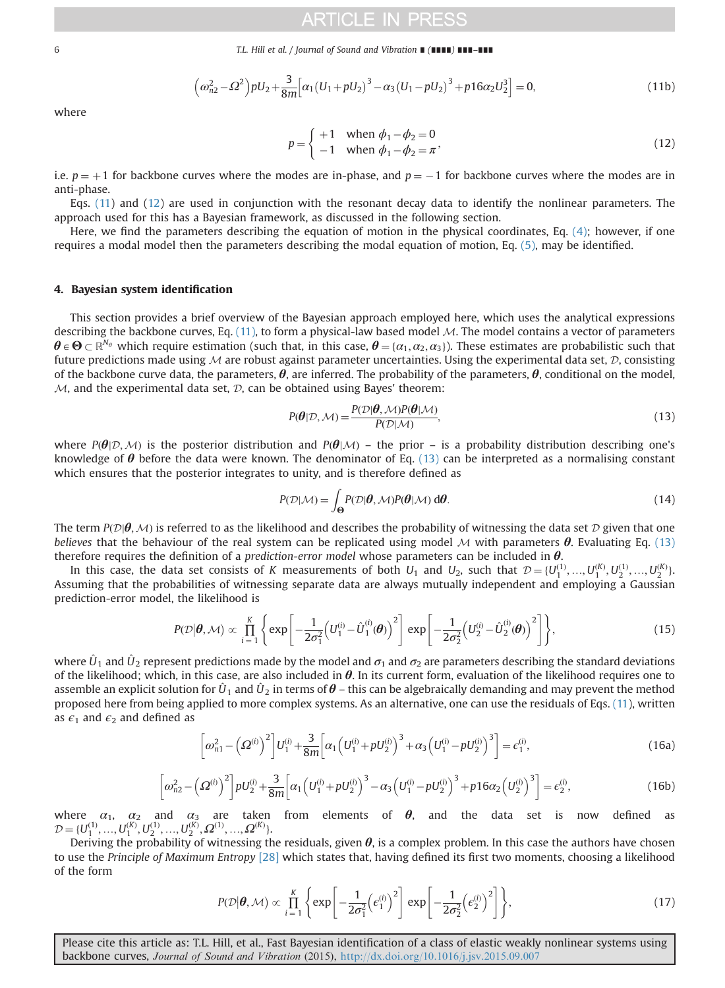<span id="page-5-0"></span>6 T.L. Hill et al. / Journal of Sound and Vibration ∎ (∎∎∎∎) ∎∎∎–∎∎∎

$$
\left(\omega_{n2}^2 - \Omega^2\right) p U_2 + \frac{3}{8m} \left[\alpha_1 \left(U_1 + p U_2\right)^3 - \alpha_3 \left(U_1 - p U_2\right)^3 + p 16 \alpha_2 U_2^3\right] = 0,\tag{11b}
$$

where

$$
p = \begin{cases} +1 & \text{when } \phi_1 - \phi_2 = 0 \\ -1 & \text{when } \phi_1 - \phi_2 = \pi \end{cases}
$$
 (12)

i.e.  $p = +1$  for backbone curves where the modes are in-phase, and  $p = -1$  for backbone curves where the modes are in anti-phase.

Eqs. [\(11](#page-4-0)) and (12) are used in conjunction with the resonant decay data to identify the nonlinear parameters. The approach used for this has a Bayesian framework, as discussed in the following section.

Here, we find the parameters describing the equation of motion in the physical coordinates, Eq. [\(4\);](#page-4-0) however, if one requires a modal model then the parameters describing the modal equation of motion, Eq. [\(5\)](#page-4-0), may be identified.

### 4. Bayesian system identification

This section provides a brief overview of the Bayesian approach employed here, which uses the analytical expressions describing the backbone curves, Eq.  $(11)$ , to form a physical-law based model M. The model contains a vector of parameters  $\theta \in \Theta \subset \mathbb{R}^{N_{\theta}}$  which require estimation (such that, in this case,  $\theta = {\alpha_1, \alpha_2, \alpha_3}$ ). These estimates are probabilistic such that future predictions made using  $M$  are robust against parameter uncertainties. Using the experimental data set,  $D$ , consisting of the backbone curve data, the parameters,  $\theta$ , are inferred. The probability of the parameters,  $\theta$ , conditional on the model,  $M$ , and the experimental data set,  $D$ , can be obtained using Bayes' theorem:

$$
P(\boldsymbol{\theta}|\mathcal{D}, \mathcal{M}) = \frac{P(\mathcal{D}|\boldsymbol{\theta}, \mathcal{M})P(\boldsymbol{\theta}|\mathcal{M})}{P(\mathcal{D}|\mathcal{M})},
$$
\n(13)

where  $P(\theta|\mathcal{D},\mathcal{M})$  is the posterior distribution and  $P(\theta|\mathcal{M})$  – the prior – is a probability distribution describing one's knowledge of  $\theta$  before the data were known. The denominator of Eq. (13) can be interpreted as a normalising constant which ensures that the posterior integrates to unity, and is therefore defined as

$$
P(\mathcal{D}|\mathcal{M}) = \int_{\Theta} P(\mathcal{D}|\boldsymbol{\theta}, \mathcal{M}) P(\boldsymbol{\theta}|\mathcal{M}) \, d\boldsymbol{\theta}.
$$
 (14)

The term  $P(D|\theta, M)$  is referred to as the likelihood and describes the probability of witnessing the data set D given that one believes that the behaviour of the real system can be replicated using model M with parameters  $\theta$ . Evaluating Eq. (13) therefore requires the definition of a prediction-error model whose parameters can be included in  $\theta$ .

In this case, the data set consists of K measurements of both  $U_1$  and  $U_2$ , such that  $\mathcal{D} = \{U_1^{(1)}, ..., U_2^{(K)}, U_2^{(1)}, ..., U_2^{(K)}\}$ Assuming that the probabilities of witnessing separate data are always mutually independent and employing a Gaussian prediction-error model, the likelihood is

$$
P(\mathcal{D}|\boldsymbol{\theta},\mathcal{M}) \propto \prod_{i=1}^{K} \left\{ \exp \left[ -\frac{1}{2\sigma_1^2} \left( U_1^{(i)} - \hat{U}_1^{(i)}(\boldsymbol{\theta}) \right)^2 \right] \exp \left[ -\frac{1}{2\sigma_2^2} \left( U_2^{(i)} - \hat{U}_2^{(i)}(\boldsymbol{\theta}) \right)^2 \right] \right\},
$$
(15)

where  $U_1$  and  $U_2$  represent predictions made by the model and  $\sigma_1$  and  $\sigma_2$  are parameters describing the standard deviations of the likelihood; which, in this case, are also included in  $\theta$ . In its current form, evaluation of the likelihood requires one to assemble an explicit solution for  $\hat{U}_1$  and  $\hat{U}_2$  in terms of  $\theta$  – this can be algebraically demanding and may prevent the method proposed here from being applied to more complex systems. As an alternative, one can use the residuals of Eqs. [\(11\)](#page-4-0), written as  $\epsilon_1$  and  $\epsilon_2$  and defined as

$$
\left[\omega_{n1}^2 - \left(\Omega^{(i)}\right)^2\right]U_1^{(i)} + \frac{3}{8m}\left[\alpha_1\left(U_1^{(i)} + pU_2^{(i)}\right)^3 + \alpha_3\left(U_1^{(i)} - pU_2^{(i)}\right)^3\right] = \epsilon_1^{(i)},\tag{16a}
$$

$$
\left[\omega_{n2}^2 - \left(\Omega^{(i)}\right)^2\right] p U_2^{(i)} + \frac{3}{8m} \left[\alpha_1 \left(U_1^{(i)} + p U_2^{(i)}\right)^3 - \alpha_3 \left(U_1^{(i)} - p U_2^{(i)}\right)^3 + p_1 6\alpha_2 \left(U_2^{(i)}\right)^3\right] = \epsilon_2^{(i)},\tag{16b}
$$

where  $\alpha_1$ ,  $\alpha_2$  and  $\alpha_3$  are taken from elements of  $\theta$ , and the data set is now defined as  $D = \{U_1^{(1)}, ..., U_1^{(K)}, U_2^{(1)}, ..., U_2^{(K)}, \Omega^{(1)}, ..., \Omega^{(K)}\}$ .<br>Deriving the probability of witnessing the

Deriving the probability of witnessing the residuals, given  $\theta$ , is a complex problem. In this case the authors have chosen to use the Principle of Maximum Entropy [\[28\]](#page-14-0) which states that, having defined its first two moments, choosing a likelihood of the form

$$
P(\mathcal{D}|\boldsymbol{\theta}, \mathcal{M}) \propto \prod_{i=1}^{K} \left\{ \exp\left[ -\frac{1}{2\sigma_1^2} \left( \epsilon_1^{(i)} \right)^2 \right] \exp\left[ -\frac{1}{2\sigma_2^2} \left( \epsilon_2^{(i)} \right)^2 \right] \right\},\tag{17}
$$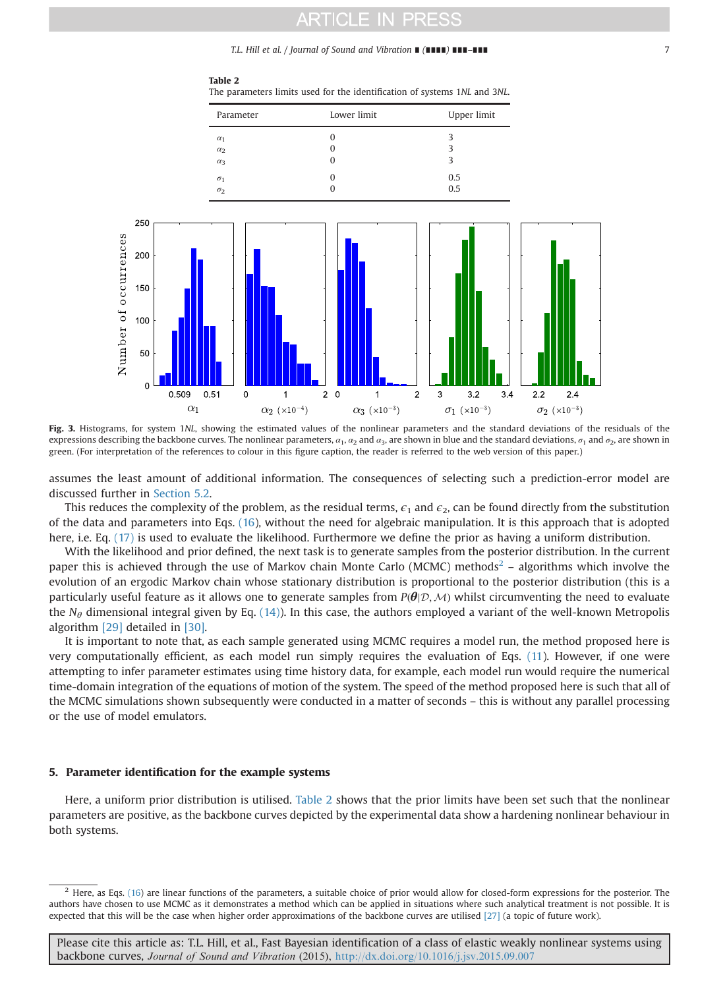T.L. Hill et al. / Journal of Sound and Vibration ∎ (∎∎∎∎) ∎∎∎–∎∎∎ 7

<span id="page-6-0"></span>

Table 2 The parameters limits used for the identification of systems 1NL and 3NL.

Fig. 3. Histograms, for system 1NL, showing the estimated values of the nonlinear parameters and the standard deviations of the residuals of the expressions describing the backbone curves. The nonlinear parameters,  $a_1$ ,  $a_2$  and  $a_3$ , are shown in blue and the standard deviations,  $\sigma_1$  and  $\sigma_2$ , are shown in green. (For interpretation of the references to colour in this figure caption, the reader is referred to the web version of this paper.)

assumes the least amount of additional information. The consequences of selecting such a prediction-error model are discussed further in [Section 5.2](#page-7-0).

This reduces the complexity of the problem, as the residual terms,  $\epsilon_1$  and  $\epsilon_2$ , can be found directly from the substitution of the data and parameters into Eqs. [\(16](#page-5-0)), without the need for algebraic manipulation. It is this approach that is adopted here, i.e. Eq. [\(17\)](#page-5-0) is used to evaluate the likelihood. Furthermore we define the prior as having a uniform distribution.

With the likelihood and prior defined, the next task is to generate samples from the posterior distribution. In the current paper this is achieved through the use of Markov chain Monte Carlo (MCMC) methods<sup>2</sup> – algorithms which involve the evolution of an ergodic Markov chain whose stationary distribution is proportional to the posterior distribution (this is a particularly useful feature as it allows one to generate samples from  $P(\theta|\mathcal{D},\mathcal{M})$  whilst circumventing the need to evaluate the  $N_{\theta}$  dimensional integral given by Eq. [\(14\)](#page-5-0)). In this case, the authors employed a variant of the well-known Metropolis algorithm [\[29\]](#page-14-0) detailed in [\[30\].](#page-14-0)

It is important to note that, as each sample generated using MCMC requires a model run, the method proposed here is very computationally efficient, as each model run simply requires the evaluation of Eqs. [\(11\)](#page-4-0). However, if one were attempting to infer parameter estimates using time history data, for example, each model run would require the numerical time-domain integration of the equations of motion of the system. The speed of the method proposed here is such that all of the MCMC simulations shown subsequently were conducted in a matter of seconds – this is without any parallel processing or the use of model emulators.

### 5. Parameter identification for the example systems

Here, a uniform prior distribution is utilised. Table 2 shows that the prior limits have been set such that the nonlinear parameters are positive, as the backbone curves depicted by the experimental data show a hardening nonlinear behaviour in both systems.

 $<sup>2</sup>$  Here, as Eqs. [\(16\)](#page-5-0) are linear functions of the parameters, a suitable choice of prior would allow for closed-form expressions for the posterior. The</sup> authors have chosen to use MCMC as it demonstrates a method which can be applied in situations where such analytical treatment is not possible. It is expected that this will be the case when higher order approximations of the backbone curves are utilised [\[27\]](#page-14-0) (a topic of future work).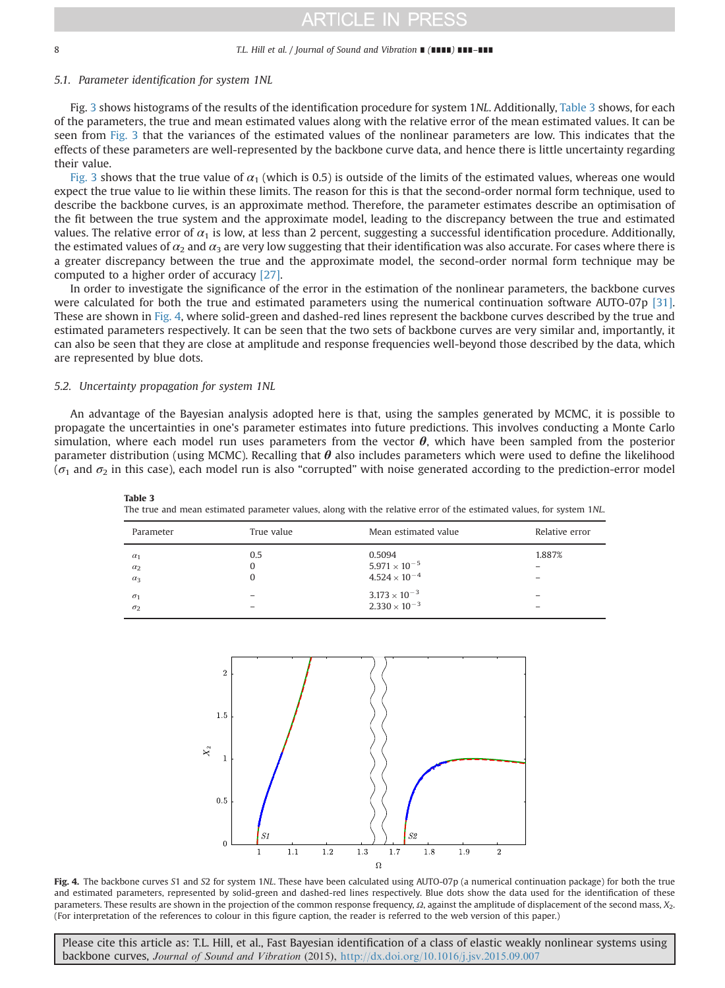#### <span id="page-7-0"></span>8 T.L. Hill et al. / Journal of Sound and Vibration ∎ (∎∎∎∎) ∎∎∎–∎∎∎

### 5.1. Parameter identification for system 1NL

Fig. [3](#page-6-0) shows histograms of the results of the identification procedure for system 1NL. Additionally, Table 3 shows, for each of the parameters, the true and mean estimated values along with the relative error of the mean estimated values. It can be seen from [Fig. 3](#page-6-0) that the variances of the estimated values of the nonlinear parameters are low. This indicates that the effects of these parameters are well-represented by the backbone curve data, and hence there is little uncertainty regarding their value.

[Fig. 3](#page-6-0) shows that the true value of  $\alpha_1$  (which is 0.5) is outside of the limits of the estimated values, whereas one would expect the true value to lie within these limits. The reason for this is that the second-order normal form technique, used to describe the backbone curves, is an approximate method. Therefore, the parameter estimates describe an optimisation of the fit between the true system and the approximate model, leading to the discrepancy between the true and estimated values. The relative error of  $\alpha_1$  is low, at less than 2 percent, suggesting a successful identification procedure. Additionally, the estimated values of  $\alpha_2$  and  $\alpha_3$  are very low suggesting that their identification was also accurate. For cases where there is a greater discrepancy between the true and the approximate model, the second-order normal form technique may be computed to a higher order of accuracy [\[27\].](#page-14-0)

In order to investigate the significance of the error in the estimation of the nonlinear parameters, the backbone curves were calculated for both the true and estimated parameters using the numerical continuation software AUTO-07p [\[31\]](#page-14-0). These are shown in Fig. 4, where solid-green and dashed-red lines represent the backbone curves described by the true and estimated parameters respectively. It can be seen that the two sets of backbone curves are very similar and, importantly, it can also be seen that they are close at amplitude and response frequencies well-beyond those described by the data, which are represented by blue dots.

### 5.2. Uncertainty propagation for system 1NL

Table 3

An advantage of the Bayesian analysis adopted here is that, using the samples generated by MCMC, it is possible to propagate the uncertainties in one's parameter estimates into future predictions. This involves conducting a Monte Carlo simulation, where each model run uses parameters from the vector  $\theta$ , which have been sampled from the posterior parameter distribution (using MCMC). Recalling that  $\theta$  also includes parameters which were used to define the likelihood ( $\sigma_1$  and  $\sigma_2$  in this case), each model run is also "corrupted" with noise generated according to the prediction-error model

The true and mean estimated parameter values, along with the relative error of the estimated values, for system 1NL.

| Parameter                              | True value | Mean estimated value                                       | Relative error |
|----------------------------------------|------------|------------------------------------------------------------|----------------|
| $\alpha_1$<br>$\alpha_2$<br>$\alpha_3$ | 0.5        | 0.5094<br>$5.971 \times 10^{-5}$<br>$4.524 \times 10^{-4}$ | 1.887%         |
| $\sigma_1$<br>$\sigma$                 |            | $3.173 \times 10^{-3}$<br>$2.330 \times 10^{-3}$           |                |



Fig. 4. The backbone curves S1 and S2 for system 1NL. These have been calculated using AUTO-07p (a numerical continuation package) for both the true and estimated parameters, represented by solid-green and dashed-red lines respectively. Blue dots show the data used for the identification of these parameters. These results are shown in the projection of the common response frequency,  $\Omega$ , against the amplitude of displacement of the second mass,  $X_2$ . (For interpretation of the references to colour in this figure caption, the reader is referred to the web version of this paper.)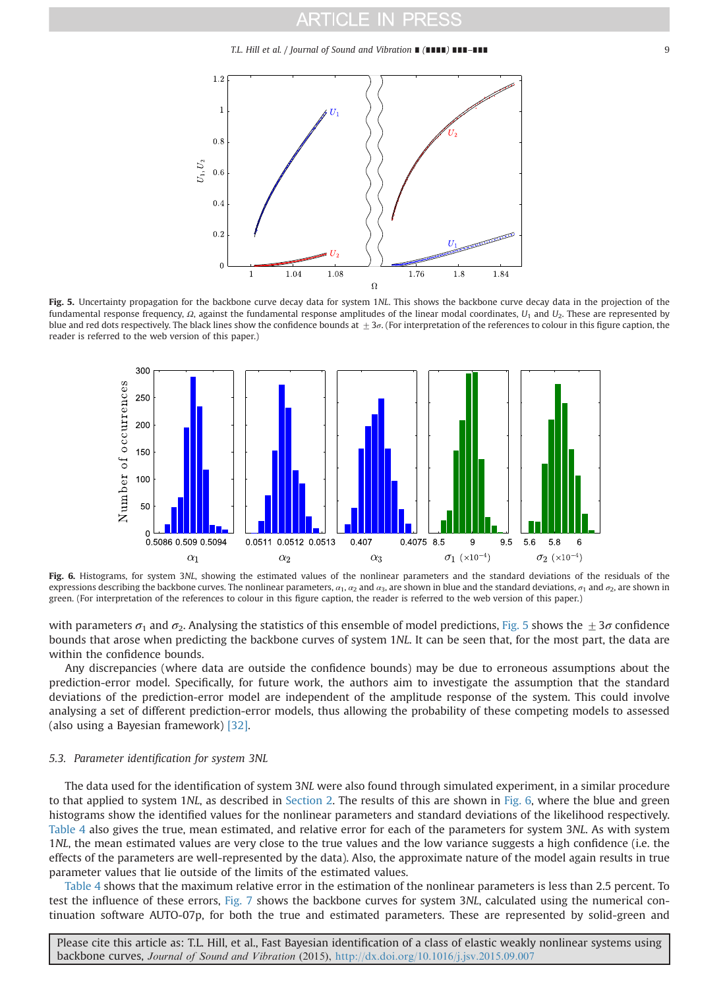T.L. Hill et al. / Journal of Sound and Vibration ∎ (∎∎∎∎) ∎∎∎–∎∎∎ 9



Fig. 5. Uncertainty propagation for the backbone curve decay data for system 1NL. This shows the backbone curve decay data in the projection of the fundamental response frequency,  $Ω$ , against the fundamental response amplitudes of the linear modal coordinates,  $U_1$  and  $U_2$ . These are represented by blue and red dots respectively. The black lines show the confidence bounds at  $\pm 3\sigma$ . (For interpretation of the references to colour in this figure caption, the reader is referred to the web version of this paper.)



Fig. 6. Histograms, for system 3NL, showing the estimated values of the nonlinear parameters and the standard deviations of the residuals of the expressions describing the backbone curves. The nonlinear parameters,  $\alpha_1$ ,  $\alpha_2$  and  $\alpha_3$ , are shown in blue and the standard deviations,  $\sigma_1$  and  $\sigma_2$ , are shown in green. (For interpretation of the references to colour in this figure caption, the reader is referred to the web version of this paper.)

with parameters  $\sigma_1$  and  $\sigma_2$ . Analysing the statistics of this ensemble of model predictions, Fig. 5 shows the  $+3\sigma$  confidence bounds that arose when predicting the backbone curves of system 1NL. It can be seen that, for the most part, the data are within the confidence bounds.

Any discrepancies (where data are outside the confidence bounds) may be due to erroneous assumptions about the prediction-error model. Specifically, for future work, the authors aim to investigate the assumption that the standard deviations of the prediction-error model are independent of the amplitude response of the system. This could involve analysing a set of different prediction-error models, thus allowing the probability of these competing models to assessed (also using a Bayesian framework) [\[32\]](#page-14-0).

## 5.3. Parameter identification for system 3NL

The data used for the identification of system 3NL were also found through simulated experiment, in a similar procedure to that applied to system 1NL, as described in [Section 2.](#page-1-0) The results of this are shown in Fig. 6, where the blue and green histograms show the identified values for the nonlinear parameters and standard deviations of the likelihood respectively. [Table 4](#page-9-0) also gives the true, mean estimated, and relative error for each of the parameters for system 3NL. As with system 1NL, the mean estimated values are very close to the true values and the low variance suggests a high confidence (i.e. the effects of the parameters are well-represented by the data). Also, the approximate nature of the model again results in true parameter values that lie outside of the limits of the estimated values.

[Table 4](#page-9-0) shows that the maximum relative error in the estimation of the nonlinear parameters is less than 2.5 percent. To test the influence of these errors, [Fig. 7](#page-9-0) shows the backbone curves for system 3NL, calculated using the numerical continuation software AUTO-07p, for both the true and estimated parameters. These are represented by solid-green and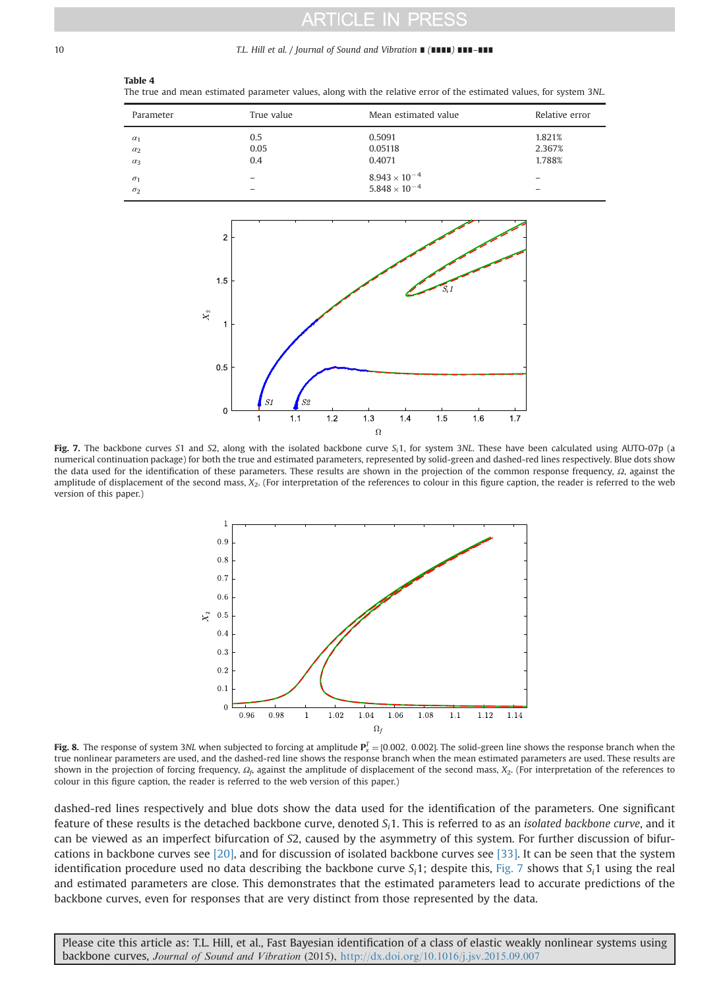#### <span id="page-9-0"></span>10 T.L. Hill et al. / Journal of Sound and Vibration ∎ (∎∎∎∎) ∎∎∎–∎∎∎

### Table 4

The true and mean estimated parameter values, along with the relative error of the estimated values, for system 3NL.

| Parameter  | True value | Mean estimated value   | Relative error |
|------------|------------|------------------------|----------------|
| $\alpha_1$ | 0.5        | 0.5091                 | 1.821%         |
| $\alpha_2$ | 0.05       | 0.05118                | 2.367%         |
| $\alpha_3$ | 0.4        | 0.4071                 | 1.788%         |
| $\sigma_1$ |            | $8.943\times10^{-4}$   | -              |
| $\sigma$   |            | $5.848 \times 10^{-4}$ | -              |



Fig. 7. The backbone curves S1 and S2, along with the isolated backbone curve  $S<sub>i</sub>1$ , for system 3NL. These have been calculated using AUTO-07p (a numerical continuation package) for both the true and estimated parameters, represented by solid-green and dashed-red lines respectively. Blue dots show the data used for the identification of these parameters. These results are shown in the projection of the common response frequency,  $Ω$ , against the amplitude of displacement of the second mass,  $X_2$ . (For interpretation of the references to colour in this figure caption, the reader is referred to the web version of this paper.)



**Fig. 8.** The response of system 3NL when subjected to forcing at amplitude  $P_x^T = [0.002, 0.002]$ . The solid-green line shows the response branch when the solid-green line shows the response branch when the mean estimated true nonlinear parameters are used, and the dashed-red line shows the response branch when the mean estimated parameters are used. These results are shown in the projection of forcing frequency,  $\Omega_f$ , against the amplitude of displacement of the second mass,  $X_2$ . (For interpretation of the references to colour in this figure caption, the reader is referred to the web version of this paper.)

dashed-red lines respectively and blue dots show the data used for the identification of the parameters. One significant feature of these results is the detached backbone curve, denoted  $S<sub>i</sub>1$ . This is referred to as an *isolated backbone curve*, and it can be viewed as an imperfect bifurcation of S2, caused by the asymmetry of this system. For further discussion of bifurcations in backbone curves see [\[20\],](#page-13-0) and for discussion of isolated backbone curves see [\[33\].](#page-14-0) It can be seen that the system identification procedure used no data describing the backbone curve  $S_i$ 1; despite this, Fig. 7 shows that  $S_i$ 1 using the real and estimated parameters are close. This demonstrates that the estimated parameters lead to accurate predictions of the backbone curves, even for responses that are very distinct from those represented by the data.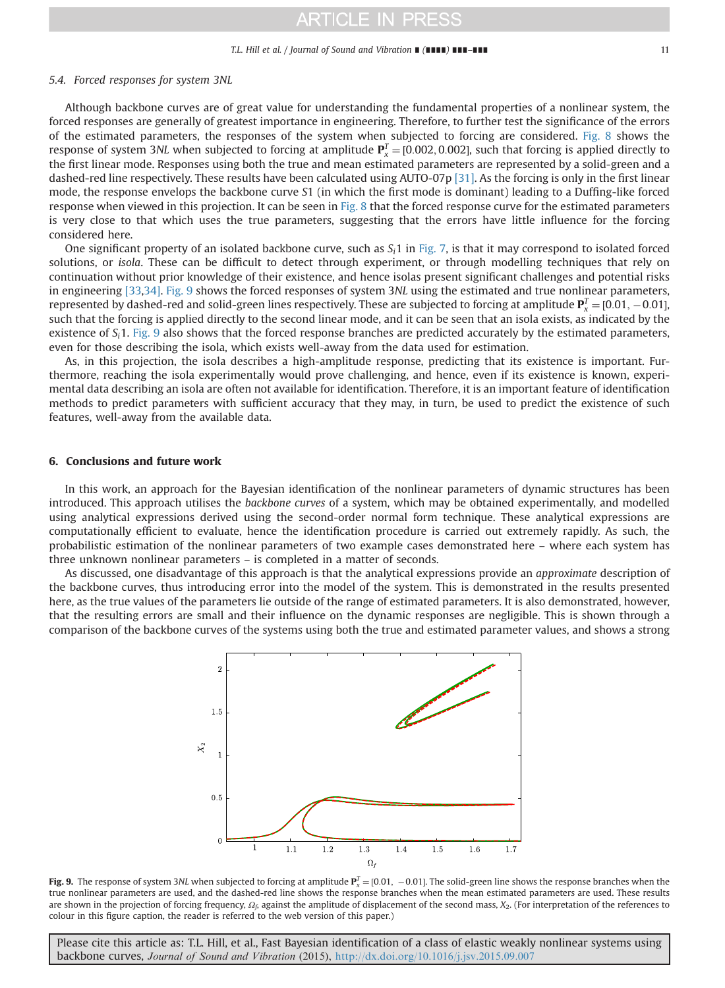#### T.L. Hill et al. / Journal of Sound and Vibration ∎ (∎∎∎∎) ∎∎∎–∎∎∎ 11

### <span id="page-10-0"></span>5.4. Forced responses for system 3NL

Although backbone curves are of great value for understanding the fundamental properties of a nonlinear system, the forced responses are generally of greatest importance in engineering. Therefore, to further test the significance of the errors of the estimated parameters, the responses of the system when subjected to forcing are considered. [Fig. 8](#page-9-0) shows the response of system 3NL when subjected to forcing at amplitude  $P_x^T = [0.002, 0.002]$ , such that forcing is applied directly to<br>the first linear mode. Besponses using both the true and mean estimated parameters are represen the first linear mode. Responses using both the true and mean estimated parameters are represented by a solid-green and a dashed-red line respectively. These results have been calculated using AUTO-07p [\[31\]](#page-14-0). As the forcing is only in the first linear mode, the response envelops the backbone curve S1 (in which the first mode is dominant) leading to a Duffing-like forced response when viewed in this projection. It can be seen in [Fig. 8](#page-9-0) that the forced response curve for the estimated parameters is very close to that which uses the true parameters, suggesting that the errors have little influence for the forcing considered here.

One significant property of an isolated backbone curve, such as  $S<sub>i</sub>1$  in [Fig. 7,](#page-9-0) is that it may correspond to isolated forced solutions, or isola. These can be difficult to detect through experiment, or through modelling techniques that rely on continuation without prior knowledge of their existence, and hence isolas present significant challenges and potential risks in engineering [\[33,34\].](#page-14-0) Fig. 9 shows the forced responses of system 3NL using the estimated and true nonlinear parameters, represented by dashed-red and solid-green lines respectively. These are subjected to forcing at amplitude  $\mathbf{P}_x^T = [0.01, -0.01]$ ,  $\mathbf{P}_y^T = [0.01, -0.01]$ ,  $\mathbf{P}_y^T = [0.01, -0.01]$ such that the forcing is applied directly to the second linear mode, and it can be seen that an isola exists, as indicated by the existence of  $S_i$ 1. Fig. 9 also shows that the forced response branches are predicted accurately by the estimated parameters, even for those describing the isola, which exists well-away from the data used for estimation.

As, in this projection, the isola describes a high-amplitude response, predicting that its existence is important. Furthermore, reaching the isola experimentally would prove challenging, and hence, even if its existence is known, experimental data describing an isola are often not available for identification. Therefore, it is an important feature of identification methods to predict parameters with sufficient accuracy that they may, in turn, be used to predict the existence of such features, well-away from the available data.

### 6. Conclusions and future work

In this work, an approach for the Bayesian identification of the nonlinear parameters of dynamic structures has been introduced. This approach utilises the backbone curves of a system, which may be obtained experimentally, and modelled using analytical expressions derived using the second-order normal form technique. These analytical expressions are computationally efficient to evaluate, hence the identification procedure is carried out extremely rapidly. As such, the probabilistic estimation of the nonlinear parameters of two example cases demonstrated here – where each system has three unknown nonlinear parameters – is completed in a matter of seconds.

As discussed, one disadvantage of this approach is that the analytical expressions provide an approximate description of the backbone curves, thus introducing error into the model of the system. This is demonstrated in the results presented here, as the true values of the parameters lie outside of the range of estimated parameters. It is also demonstrated, however, that the resulting errors are small and their influence on the dynamic responses are negligible. This is shown through a comparison of the backbone curves of the systems using both the true and estimated parameter values, and shows a strong



**Fig. 9.** The response of system 3NL when subjected to forcing at amplitude  $P_x^T = [0.01, -0.01]$ . The solid-green line shows the response branches when the solid-green line shows the response branches when the solid-green true nonlinear parameters are used, and the dashed-red line shows the response branches when the mean estimated parameters are used. These results are shown in the projection of forcing frequency,  $\Omega_f$ , against the amplitude of displacement of the second mass,  $X_2$ . (For interpretation of the references to colour in this figure caption, the reader is referred to the web version of this paper.)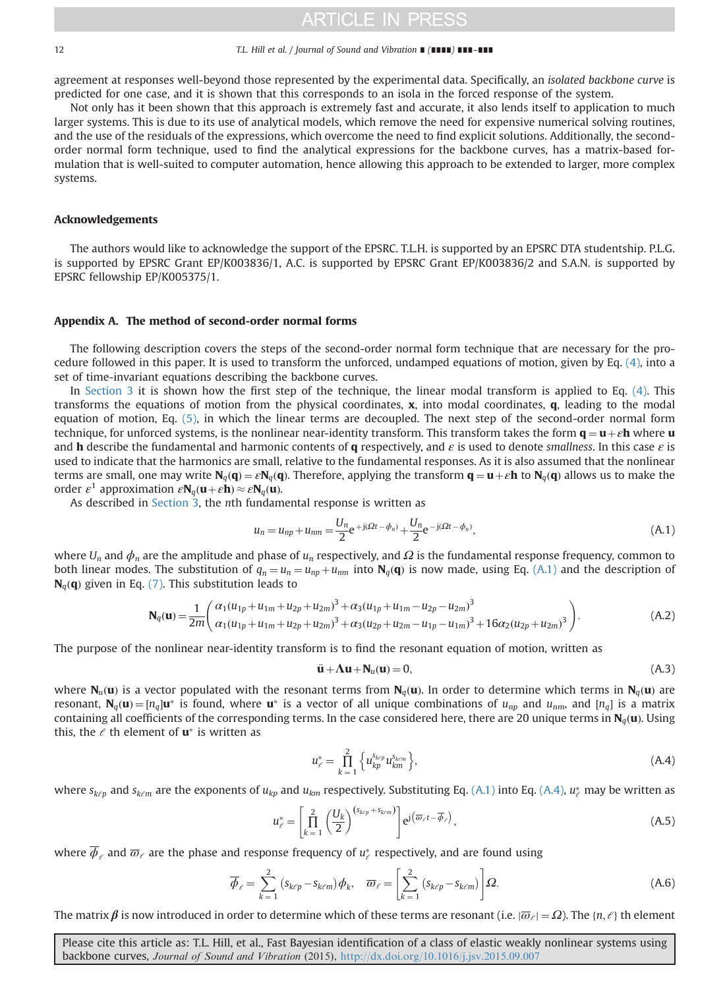#### <span id="page-11-0"></span>12 T.L. Hill et al. / Journal of Sound and Vibration ∎ (∎∎∎∎) ∎∎∎–∎∎∎

agreement at responses well-beyond those represented by the experimental data. Specifically, an isolated backbone curve is predicted for one case, and it is shown that this corresponds to an isola in the forced response of the system.

Not only has it been shown that this approach is extremely fast and accurate, it also lends itself to application to much larger systems. This is due to its use of analytical models, which remove the need for expensive numerical solving routines, and the use of the residuals of the expressions, which overcome the need to find explicit solutions. Additionally, the secondorder normal form technique, used to find the analytical expressions for the backbone curves, has a matrix-based formulation that is well-suited to computer automation, hence allowing this approach to be extended to larger, more complex systems.

### Acknowledgements

The authors would like to acknowledge the support of the EPSRC. T.L.H. is supported by an EPSRC DTA studentship. P.L.G. is supported by EPSRC Grant EP/K003836/1, A.C. is supported by EPSRC Grant EP/K003836/2 and S.A.N. is supported by EPSRC fellowship EP/K005375/1.

### Appendix A. The method of second-order normal forms

The following description covers the steps of the second-order normal form technique that are necessary for the procedure followed in this paper. It is used to transform the unforced, undamped equations of motion, given by Eq. [\(4\),](#page-4-0) into a set of time-invariant equations describing the backbone curves.

In [Section 3](#page-4-0) it is shown how the first step of the technique, the linear modal transform is applied to Eq. [\(4\).](#page-4-0) This transforms the equations of motion from the physical coordinates,  $x$ , into modal coordinates,  $q$ , leading to the modal equation of motion, Eq. [\(5\),](#page-4-0) in which the linear terms are decoupled. The next step of the second-order normal form technique, for unforced systems, is the nonlinear near-identity transform. This transform takes the form  $\mathbf{q} = \mathbf{u} + \varepsilon \mathbf{h}$  where  $\mathbf{u}$ and h describe the fundamental and harmonic contents of q respectively, and  $\varepsilon$  is used to denote smallness. In this case  $\varepsilon$  is used to indicate that the harmonics are small, relative to the fundamental responses. As it is also assumed that the nonlinear terms are small, one may write  $N_q(q) = \varepsilon N_q(q)$ . Therefore, applying the transform  $q = u + \varepsilon h$  to  $N_q(q)$  allows us to make the order  $\varepsilon^1$  approximation  $\varepsilon N_q(\mathbf{u}+\varepsilon\mathbf{h})\approx \varepsilon N_q(\mathbf{u})$ .

As described in [Section 3](#page-4-0), the nth fundamental response is written as

$$
u_n = u_{np} + u_{nm} = \frac{U_n}{2} e^{+j(\Omega t - \phi_n)} + \frac{U_n}{2} e^{-j(\Omega t - \phi_n)},
$$
\n(A.1)

where  $U_n$  and  $\phi_n$  are the amplitude and phase of  $u_n$  respectively, and  $\Omega$  is the fundamental response frequency, common to both linear modes. The substitution of  $q_n = u_n = u_{np} + u_{nm}$  into  $N_q(q)$  is now made, using Eq. (A.1) and the description of  $N_q(q)$  given in Eq. [\(7\)](#page-4-0). This substitution leads to

$$
\mathbf{N}_{q}(\mathbf{u}) = \frac{1}{2m} \left( \frac{\alpha_{1}(u_{1p} + u_{1m} + u_{2p} + u_{2m})^{3} + \alpha_{3}(u_{1p} + u_{1m} - u_{2p} - u_{2m})^{3}}{\alpha_{1}(u_{1p} + u_{1m} + u_{2p} + u_{2m})^{3} + \alpha_{3}(u_{2p} + u_{2m} - u_{1p} - u_{1m})^{3} + 16\alpha_{2}(u_{2p} + u_{2m})^{3}} \right).
$$
(A.2)

The purpose of the nonlinear near-identity transform is to find the resonant equation of motion, written as

$$
\ddot{\mathbf{u}} + \mathbf{\Lambda}\mathbf{u} + \mathbf{N}_u(\mathbf{u}) = 0,\tag{A.3}
$$

where  $N_u(u)$  is a vector populated with the resonant terms from  $N_a(u)$ . In order to determine which terms in  $N_a(u)$  are resonant,  $N_a(u) = [n_a]u^*$  is found, where  $u^*$  is a vector of all unique combinations of  $u_{np}$  and  $u_{nm}$ , and  $[n_q]$  is a matrix containing all coefficients of the corresponding terms. In the case considered here, there are 20 unique terms in  $N_a(u)$ . Using this, the  $\ell$  th element of  $\mathbf{u}^*$  is written as

$$
u_{\ell}^* = \prod_{k=1}^2 \left\{ u_{kp}^{s_{k\ell p}} u_{km}^{s_{k\ell m}} \right\},\tag{A.4}
$$

where  $s_{k\ell p}$  and  $s_{k\ell m}$  are the exponents of  $u_{kp}$  and  $u_{km}$  respectively. Substituting Eq. (A.1) into Eq. (A.4),  $u_\ell^*$  may be written as

$$
u_{\ell}^* = \left[\prod_{k=1}^2 \left(\frac{U_k}{2}\right)^{(s_{k\ell p} + s_{k\ell m})}\right] e^{j\left(\overline{\omega}_{\ell}t - \overline{\phi}_{\ell}\right)},\tag{A.5}
$$

where  $\overline{\phi}_\ell$  and  $\overline{\omega}_\ell$  are the phase and response frequency of  $u^*_\ell$  respectively, and are found using

$$
\overline{\phi}_{\ell} = \sum_{k=1}^{2} (s_{k\ell p} - s_{k\ell m}) \phi_k, \quad \overline{\omega}_{\ell} = \left[ \sum_{k=1}^{2} (s_{k\ell p} - s_{k\ell m}) \right] \Omega.
$$
 (A.6)

The matrix  $\beta$  is now introduced in order to determine which of these terms are resonant (i.e.  $|\overline{\omega}_{\ell}| = \Omega$ ). The  $\{n, \ell\}$  th element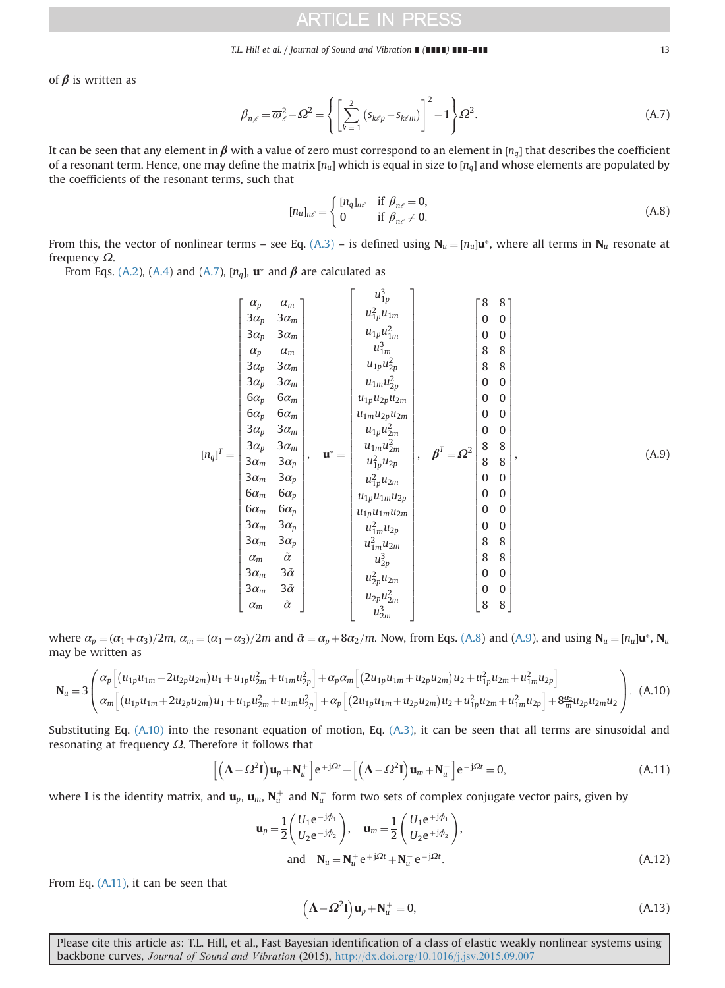#### T.L. Hill et al. / Journal of Sound and Vibration ∎ (∎∎∎∎) ∎∎∎–∎∎∎ 13

<span id="page-12-0"></span>of  $\beta$  is written as

$$
\beta_{n,\ell} = \overline{\omega}_{\ell}^2 - \Omega^2 = \left\{ \left[ \sum_{k=1}^2 \left( s_{k\ell p} - s_{k\ell m} \right) \right]^2 - 1 \right\} \Omega^2.
$$
\n(A.7)

It can be seen that any element in  $\beta$  with a value of zero must correspond to an element in  $[n_n]$  that describes the coefficient of a resonant term. Hence, one may define the matrix  $[n_u]$  which is equal in size to  $[n_a]$  and whose elements are populated by the coefficients of the resonant terms, such that

$$
[n_u]_{n\ell} = \begin{cases} [n_q]_{n\ell} & \text{if } \beta_{n\ell} = 0, \\ 0 & \text{if } \beta_{n\ell} \neq 0. \end{cases}
$$
 (A.8)

From this, the vector of nonlinear terms – see Eq. [\(A.3\)](#page-11-0) – is defined using  $N_u = [n_u]u^*$ , where all terms in  $N_u$  resonate at frequency Ω.

 $\overline{\mathbf{3}}$ 

From Eqs. [\(A.2](#page-11-0)), ([A.4\)](#page-11-0) and (A.7),  $[n_q]$ ,  $\mathbf{u}^*$  and  $\boldsymbol{\beta}$  are calculated as

$$
\begin{bmatrix}\n\alpha_{p} & \alpha_{m} \\
3\alpha_{p} & 3\alpha_{m} \\
\alpha_{p} & \alpha_{m} \\
\alpha_{p} & \alpha_{m} \\
3\alpha_{p} & 3\alpha_{m} \\
3\alpha_{p} & 3\alpha_{m} \\
6\alpha_{p} & 6\alpha_{m} \\
6\alpha_{p} & 6\alpha_{m} \\
3\alpha_{p} & 3\alpha_{m} \\
6\alpha_{p} & 6\alpha_{m} \\
3\alpha_{p} & 3\alpha_{m} \\
3\alpha_{p} & 3\alpha_{m} \\
3\alpha_{p} & 3\alpha_{m} \\
3\alpha_{p} & 3\alpha_{p} \\
3\alpha_{m} & 3\alpha_{p} \\
6\alpha_{m} & 6\alpha_{p} \\
6\alpha_{m} & 6\alpha_{p} \\
6\alpha_{m} & 6\alpha_{p} \\
6\alpha_{m} & 6\alpha_{p} \\
3\alpha_{m} & 3\alpha_{p} \\
3\alpha_{m} & 3\alpha_{p} \\
3\alpha_{m} & 3\alpha_{p} \\
3\alpha_{m} & 3\alpha_{p} \\
3\alpha_{m} & 3\alpha_{p} \\
3\alpha_{m} & 3\alpha_{p} \\
3\alpha_{m} & 3\alpha_{p} \\
\alpha_{m} & \alpha\n\end{bmatrix}, \quad \mathbf{u^{*}} = \begin{bmatrix}\nu_{1p}u_{1m}^{11} \\
u_{1p}u_{2p}^{11} \\
u_{1p}u_{2p}^{11} \\
u_{1p}u_{2p}^{11} \\
u_{1p}u_{2p}^{11} \\
u_{1p}u_{2p}^{11} \\
u_{1p}u_{2p}^{11} \\
u_{1p}u_{2p}^{11} \\
u_{2p}^{11} \\
u_{2p}^{11} \\
u_{2p}^{11} \\
u_{2p}^{11} \\
u_{2p}^{12} \\
u_{2p}^{12} \\
u_{2p}^{12} \\
u_{2p}^{12} \\
u_{2p}^{12} \\
u_{2p}^{12} \\
u_{2p}^{12} \\
u_{2p}^{12} \\
u_{2p}^{12} \\
u_{2p}^{12} \\
u_{2p}^{12} \\
u_{2p}^{12} \\
u_{2p}^{12} \\
u_{2p}^{12} \\
u_{2p}^{12} \\
u_{2p}^{12} \\
u_{2p}^{12} \\
u_{2p}^{12}
$$

where  $\alpha_p = (\alpha_1 + \alpha_3)/2m$ ,  $\alpha_m = (\alpha_1 - \alpha_3)/2m$  and  $\tilde{\alpha} = \alpha_p + 8\alpha_2/m$ . Now, from Eqs. (A.8) and (A.9), and using  $N_u = [n_u]$ **u**\*,  $N_u$ may be written as

$$
\mathbf{N}_{u} = 3 \left( \alpha_{p} \left[ (u_{1p} u_{1m} + 2u_{2p} u_{2m}) u_{1} + u_{1p} u_{2m}^{2} + u_{1m} u_{2p}^{2} \right] + \alpha_{p} \alpha_{m} \left[ (2u_{1p} u_{1m} + u_{2p} u_{2m}) u_{2} + u_{1p}^{2} u_{2m} + u_{1m}^{2} u_{2p} \right] \right).
$$
 (A.10)  
\n
$$
\alpha_{m} \left[ (u_{1p} u_{1m} + 2u_{2p} u_{2m}) u_{1} + u_{1p} u_{2m}^{2} + u_{1m} u_{2p}^{2} \right] + \alpha_{p} \left[ (2u_{1p} u_{1m} + u_{2p} u_{2m}) u_{2} + u_{1p}^{2} u_{2m} + u_{1m}^{2} u_{2p} \right] + 8 \frac{\alpha_{2}}{m} u_{2p} u_{2m} u_{2} \right).
$$

Substituting Eq. (A.10) into the resonant equation of motion, Eq. [\(A.3\),](#page-11-0) it can be seen that all terms are sinusoidal and resonating at frequency  $Ω$ . Therefore it follows that

$$
\left[ \left( \mathbf{\Lambda} - \Omega^2 \mathbf{I} \right) \mathbf{u}_p + \mathbf{N}_u^+ \right] e^{+j\Omega t} + \left[ \left( \mathbf{\Lambda} - \Omega^2 \mathbf{I} \right) \mathbf{u}_m + \mathbf{N}_u^- \right] e^{-j\Omega t} = 0, \tag{A.11}
$$

where **I** is the identity matrix, and  $\mathbf{u}_p$ ,  $\mathbf{u}_m$ ,  $\mathbf{N}_u^+$  and  $\mathbf{N}_u^-$  form two sets of complex conjugate vector pairs, given by

$$
\mathbf{u}_{p} = \frac{1}{2} \begin{pmatrix} U_{1} e^{-j\phi_{1}} \\ U_{2} e^{-j\phi_{2}} \end{pmatrix}, \quad \mathbf{u}_{m} = \frac{1}{2} \begin{pmatrix} U_{1} e^{+j\phi_{1}} \\ U_{2} e^{+j\phi_{2}} \end{pmatrix},
$$
  
and 
$$
\mathbf{N}_{u} = \mathbf{N}_{u}^{+} e^{+j\Omega t} + \mathbf{N}_{u}^{-} e^{-j\Omega t}.
$$
 (A.12)

From Eq. (A.11), it can be seen that

$$
(\mathbf{\Lambda} - \Omega^2 \mathbf{I}) \mathbf{u}_p + \mathbf{N}_u^+ = 0, \tag{A.13}
$$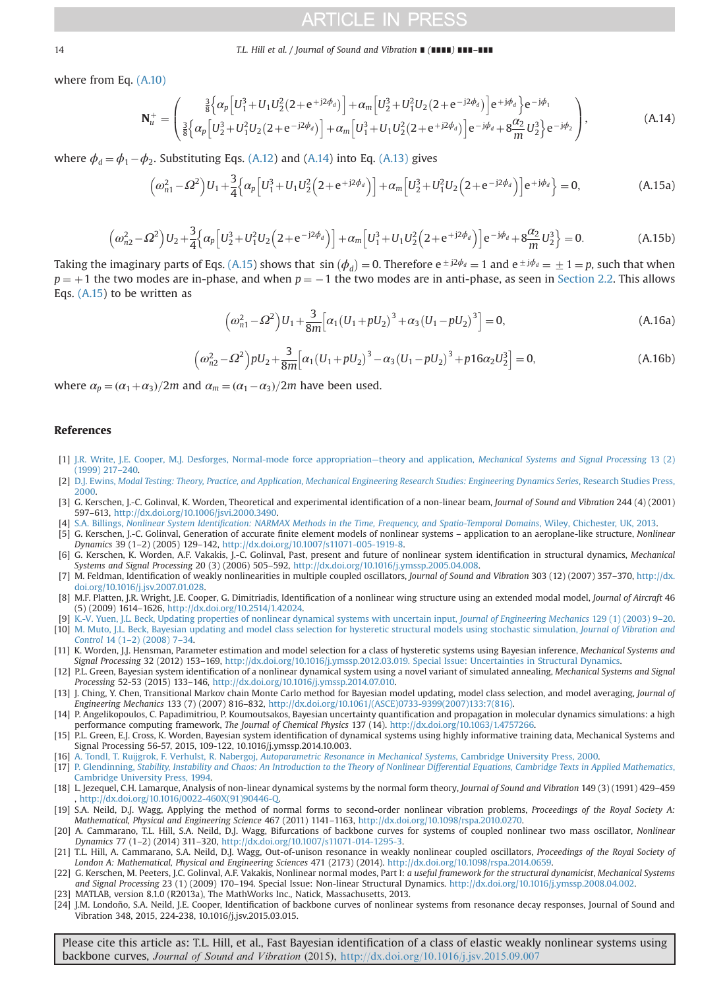#### <span id="page-13-0"></span>14 T.L. Hill et al. / Journal of Sound and Vibration ∎ (∎∎∎∎) ∎∎∎–∎∎∎

where from Eq. [\(A.10\)](#page-12-0)

$$
\mathbf{N}_{u}^{+} = \begin{pmatrix} \frac{3}{8} \Big\{ \alpha_{p} \Big[ U_{1}^{3} + U_{1} U_{2}^{2} (2 + e^{+j2\phi_{d}}) \Big] + \alpha_{m} \Big[ U_{2}^{3} + U_{1}^{2} U_{2} (2 + e^{-j2\phi_{d}}) \Big] e^{+j\phi_{d}} \Big\} e^{-j\phi_{1}} \\ \frac{3}{8} \Big\{ \alpha_{p} \Big[ U_{2}^{3} + U_{1}^{2} U_{2} (2 + e^{-j2\phi_{d}}) \Big] + \alpha_{m} \Big[ U_{1}^{3} + U_{1} U_{2}^{2} (2 + e^{+j2\phi_{d}}) \Big] e^{-j\phi_{d}} + 8 \frac{\alpha_{2}}{m} U_{2}^{3} \Big\} e^{-j\phi_{2}} \end{pmatrix},
$$
\n(A.14)

where  $\phi_d = \phi_1 - \phi_2$ . Substituting Eqs. [\(A.12\)](#page-12-0) and (A.14) into Eq. [\(A.13\)](#page-12-0) gives

$$
\left(\omega_{n1}^{2}-\Omega^{2}\right)U_{1}+\frac{3}{4}\left\{\alpha_{p}\left[U_{1}^{3}+U_{1}U_{2}^{2}\left(2+e^{+j2\phi_{d}}\right)\right]+\alpha_{m}\left[U_{2}^{3}+U_{1}^{2}U_{2}\left(2+e^{-j2\phi_{d}}\right)\right]e^{+j\phi_{d}}\right\}=0,
$$
\n(A.15a)

$$
\left(\omega_{n2}^2 - \Omega^2\right)U_2 + \frac{3}{4}\left\{\alpha_p \left[U_2^3 + U_1^2 U_2 \left(2 + e^{-j2\phi_d}\right)\right] + \alpha_m \left[U_1^3 + U_1 U_2^2 \left(2 + e^{+j2\phi_d}\right)\right]e^{-j\phi_d} + 8\frac{\alpha_2}{m}U_2^3\right\} = 0.
$$
\n(A.15b)

Taking the imaginary parts of Eqs. (A.15) shows that  $\sin{(\phi_d)} = 0$ . Therefore  $e^{\pm j\phi_d} = 1$  and  $e^{\pm j\phi_d} = \pm 1 = p$ , such that when  $n = -1$  the two modes are in anti-phase as seen in Section 2.2. This allows  $p = +1$  the two modes are in-phase, and when  $p = -1$  the two modes are in anti-phase, as seen in [Section 2.2](#page-2-0). This allows Eqs. (A.15) to be written as

$$
\left(\omega_{n1}^{2} - \Omega^{2}\right)U_{1} + \frac{3}{8m}\left[\alpha_{1}\left(U_{1} + pU_{2}\right)^{3} + \alpha_{3}\left(U_{1} - pU_{2}\right)^{3}\right] = 0,
$$
\n(A.16a)

$$
\left(\omega_{n2}^2 - \Omega^2\right) p U_2 + \frac{3}{8m} \left[\alpha_1 \left(U_1 + p U_2\right)^3 - \alpha_3 \left(U_1 - p U_2\right)^3 + p 16 \alpha_2 U_2^3\right] = 0,\tag{A.16b}
$$

where  $\alpha_p = (\alpha_1 + \alpha_3)/2m$  and  $\alpha_m = (\alpha_1 - \alpha_3)/2m$  have been used.

### References

- [1] [J.R. Write, J.E. Cooper, M.J. Desforges, Normal-mode force appropriation](http://refhub.elsevier.com/S0022-460X(15)00710-5/sbref1)—theory and application, Mechanical Systems and Signal Processing 13 (2) [\(1999\) 217](http://refhub.elsevier.com/S0022-460X(15)00710-5/sbref1)–240.
- [2] D.J. Ewins, [Modal Testing: Theory, Practice, and Application, Mechanical Engineering Research Studies: Engineering Dynamics Series](http://refhub.elsevier.com/S0022-460X(15)00710-5/sbref2), Research Studies Press, [2000.](http://refhub.elsevier.com/S0022-460X(15)00710-5/sbref2)
- [3] G. Kerschen, J.-C. Golinval, K. Worden, Theoretical and experimental identification of a non-linear beam, Journal of Sound and Vibration 244 (4) (2001) 597–613, [http://dx.doi.org/10.1006/jsvi.2000.3490.](http://dx.doi.org/10.1006/jsvi.2000.3490)
- [4] S.A. Billings, Nonlinear System Identifi[cation: NARMAX Methods in the Time, Frequency, and Spatio-Temporal Domains](http://refhub.elsevier.com/S0022-460X(15)00710-5/sbref4), Wiley, Chichester, UK, 2013.
- [5] G. Kerschen, J.-C. Golinval, Generation of accurate finite element models of nonlinear systems application to an aeroplane-like structure, Nonlinear Dynamics 39 (1–2) (2005) 129–142, [http://dx.doi.org/10.1007/s11071-005-1919-8.](http://dx.doi.org/10.1007/s11071-005-1919-8)
- [6] G. Kerschen, K. Worden, A.F. Vakakis, J.-C. Golinval, Past, present and future of nonlinear system identification in structural dynamics, Mechanical Systems and Signal Processing 20 (3) (2006) 505–592, <http://dx.doi.org/10.1016/j.ymssp.2005.04.008>.
- [7] M. Feldman, Identification of weakly nonlinearities in multiple coupled oscillators, Journal of Sound and Vibration 303 (12) (2007) 357–370, [http://dx.](http://dx.doi.org/10.1016/j.jsv.2007.01.028) [doi.org/10.1016/j.jsv.2007.01.028](http://dx.doi.org/10.1016/j.jsv.2007.01.028).
- [8] M.F. Platten, J.R. Wright, J.E. Cooper, G. Dimitriadis, Identification of a nonlinear wing structure using an extended modal model, Journal of Aircraft 46 (5) (2009) 1614–1626, [http://dx.doi.org/10.2514/1.42024.](http://dx.doi.org/10.2514/1.42024)
- [9] [K.-V. Yuen, J.L. Beck, Updating properties of nonlinear dynamical systems with uncertain input,](http://refhub.elsevier.com/S0022-460X(15)00710-5/sbref9) Journal of Engineering Mechanics 129 (1) (2003) 9–20.
- [10] [M. Muto, J.L. Beck, Bayesian updating and model class selection for hysteretic structural models using stochastic simulation,](http://refhub.elsevier.com/S0022-460X(15)00710-5/sbref10) Journal of Vibration and Control 14 (1–[2\) \(2008\) 7](http://refhub.elsevier.com/S0022-460X(15)00710-5/sbref10)–34.
- [11] K. Worden, J.J. Hensman, Parameter estimation and model selection for a class of hysteretic systems using Bayesian inference, Mechanical Systems and Signal Processing 32 (2012) 153–169, <http://dx.doi.org/10.1016/j.ymssp.2012.03.019>. Special Issue: Uncertainties in Structural Dynamics.
- [12] P.L. Green, Bayesian system identification of a nonlinear dynamical system using a novel variant of simulated annealing, Mechanical Systems and Signal Processing 52-53 (2015) 133–146, <http://dx.doi.org/10.1016/j.ymssp.2014.07.010>.
- [13] J. Ching, Y. Chen, Transitional Markov chain Monte Carlo method for Bayesian model updating, model class selection, and model averaging, Journal of Engineering Mechanics 133 (7) (2007) 816–832, [http://dx.doi.org/10.1061/\(ASCE\)0733-9399\(2007\)133:7\(816\)](http://dx.doi.org/10.1061/(ASCE)0733-9399(2007)133:7(816)).
- [14] P. Angelikopoulos, C. Papadimitriou, P. Koumoutsakos, Bayesian uncertainty quantification and propagation in molecular dynamics simulations: a high performance computing framework, The Journal of Chemical Physics 137 (14). [http://dx.doi.org/10.1063/1.4757266](dx.doi.org/10.1063/1.4757266).
- [15] P.L. Green, E.J. Cross, K. Worden, Bayesian system identification of dynamical systems using highly informative training data, Mechanical Systems and Signal Processing 56-57, 2015, 109-122, 10.1016/j.ymssp.2014.10.003.
- [16] A. Tondl, T. Ruijgrok, F. Verhulst, R. Nabergoj, [Autoparametric Resonance in Mechanical Systems](http://refhub.elsevier.com/S0022-460X(15)00710-5/sbref16), Cambridge University Press, 2000.
- [17] P. Glendinning, [Stability, Instability and Chaos: An Introduction to the Theory of Nonlinear Differential Equations, Cambridge Texts in Applied Mathematics](http://refhub.elsevier.com/S0022-460X(15)00710-5/sbref17), [Cambridge University Press, 1994.](http://refhub.elsevier.com/S0022-460X(15)00710-5/sbref17)
- [18] L. Jezequel, C.H. Lamarque, Analysis of non-linear dynamical systems by the normal form theory, Journal of Sound and Vibration 149 (3) (1991) 429–459 , [http://dx.doi.org/10.1016/0022-460X\(91\)90446-Q](http://dx.doi.org/10.1016/0022-460X(91)90446-Q).
- [19] S.A. Neild, D.J. Wagg, Applying the method of normal forms to second-order nonlinear vibration problems, Proceedings of the Royal Society A: Mathematical, Physical and Engineering Science 467 (2011) 1141–1163, <http://dx.doi.org/10.1098/rspa.2010.0270>.
- [20] A. Cammarano, T.L. Hill, S.A. Neild, D.J. Wagg, Bifurcations of backbone curves for systems of coupled nonlinear two mass oscillator, Nonlinear Dynamics 77 (1–2) (2014) 311–320, <http://dx.doi.org/10.1007/s11071-014-1295-3>.
- [21] T.L. Hill, A. Cammarano, S.A. Neild, D.J. Wagg, Out-of-unison resonance in weakly nonlinear coupled oscillators, Proceedings of the Royal Society of London A: Mathematical, Physical and Engineering Sciences 471 (2173) (2014). [http://dx.doi.org/10.1098/rspa.2014.0659](dx.doi.org/10.1098/rspa.2014.0659).
- [22] G. Kerschen, M. Peeters, J.C. Golinval, A.F. Vakakis, Nonlinear normal modes, Part I: a useful framework for the structural dynamicist, Mechanical Systems and Signal Processing 23 (1) (2009) 170–194. Special Issue: Non-linear Structural Dynamics. [http://dx.doi.org/10.1016/j.ymssp.2008.04.002.](dx.doi.org/10.1016/j.ymssp.2008.04.002)
- [23] MATLAB, version 8.1.0 (R2013a), The MathWorks Inc., Natick, Massachusetts, 2013.
- [24] J.M. Londoño, S.A. Neild, J.E. Cooper, Identification of backbone curves of nonlinear systems from resonance decay responses, Journal of Sound and Vibration 348, 2015, 224-238, 10.1016/j.jsv.2015.03.015.